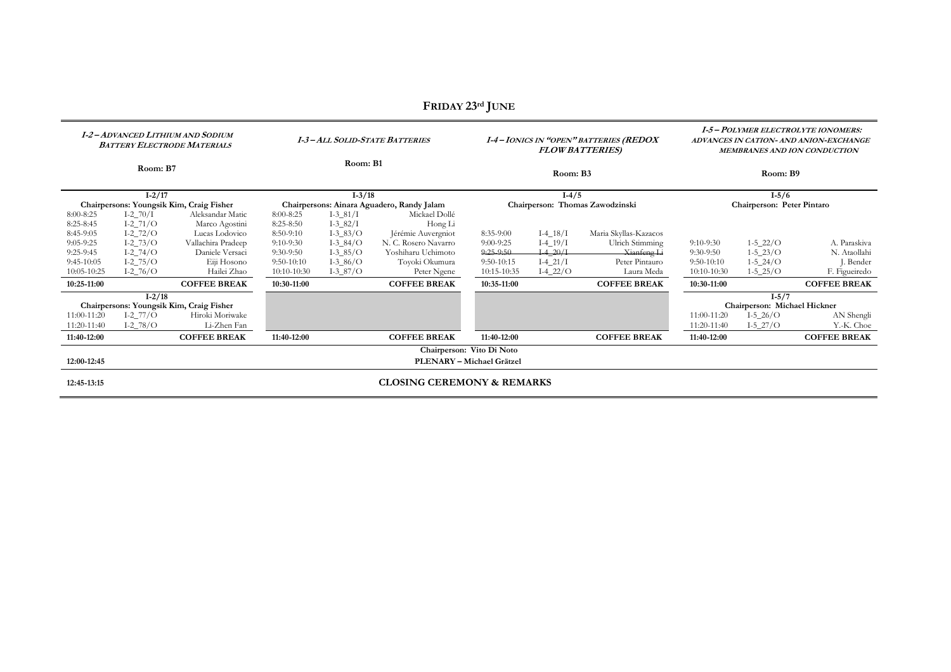| <b>I-2 – ADVANCED LITHIUM AND SODIUM</b><br><b>BATTERY ELECTRODE MATERIALS</b> |                                           |                                          | <b>I-3-ALL SOLID-STATE BATTERIES</b>       |                          |                                            | <b>I-4-IONICS IN "OPEN" BATTERIES (REDOX</b><br><b>FLOW BATTERIES</b> ) |                           |                                | <b>I-5-POLYMER ELECTROLYTE IONOMERS:</b><br>ADVANCES IN CATION- AND ANION-EXCHANGE<br>MEMBRANES AND ION CONDUCTION |                                              |                              |
|--------------------------------------------------------------------------------|-------------------------------------------|------------------------------------------|--------------------------------------------|--------------------------|--------------------------------------------|-------------------------------------------------------------------------|---------------------------|--------------------------------|--------------------------------------------------------------------------------------------------------------------|----------------------------------------------|------------------------------|
| Room: B7                                                                       |                                           |                                          | Room: B1                                   |                          |                                            | Room: B3                                                                |                           |                                | Room: B9                                                                                                           |                                              |                              |
| $I - 2/17$                                                                     |                                           |                                          | $I - 3/18$                                 |                          |                                            | $I-4/5$                                                                 |                           |                                | $I-5/6$                                                                                                            |                                              |                              |
| Chairpersons: Youngsik Kim, Craig Fisher                                       |                                           |                                          | Chairpersons: Ainara Aguadero, Randy Jalam |                          |                                            | Chairperson: Thomas Zawodzinski                                         |                           |                                | Chairperson: Peter Pintaro                                                                                         |                                              |                              |
| 8:00-8:25                                                                      | $I - 270/I$                               | Aleksandar Matic                         | 8:00-8:25                                  | $I - 3 - 81/I$           | Mickael Dollé                              |                                                                         |                           |                                |                                                                                                                    |                                              |                              |
| 8:25-8:45                                                                      | $I-2_71/O$                                | Marco Agostini                           | 8:25-8:50                                  | $I - 3 - 82/I$           | Hong Li                                    |                                                                         |                           |                                |                                                                                                                    |                                              |                              |
| 8:45-9:05                                                                      | $I - 272/O$                               | Lucas Lodovico                           | 8:50-9:10                                  | $I-3_83/O$               | Jérémie Auvergniot                         | 8:35-9:00                                                               | $I-4_18/I$                | Maria Skyllas-Kazacos          |                                                                                                                    |                                              |                              |
| $9:05-9:25$<br>$9:25-9:45$                                                     | $I-2$ <sub>-73</sub> /O<br>$I - 2 - 74/O$ | Vallachira Pradeep<br>Daniele Versaci    | $9:10-9:30$<br>$9:30-9:50$                 | $I-3_84/O$<br>$I-3_85/O$ | N. C. Rosero Navarro<br>Yoshiharu Uchimoto | $9:00-9:25$<br>$9:25-9:50$                                              | $I-4_19/I$<br>$I-4\_20/I$ | Ulrich Stimming<br>Xianfeng Li | $9:10-9:30$<br>$9:30-9:50$                                                                                         | $1 - 5 \cdot 22 / O$<br>$1 - 5 \cdot 23 / O$ | A. Paraskiva<br>N. Ataollahi |
| $9:45-10:05$                                                                   | $I-2$ <sub>-75</sub> /O                   | Eiji Hosono                              | $9:50-10:10$                               | $I-3_86/O$               | Toyoki Okumura                             | $9:50-10:15$                                                            | $I-4_21/I$                | Peter Pintauro                 | $9:50-10:10$                                                                                                       | $1 - 5 - 24/O$                               | J. Bender                    |
| 10:05-10:25                                                                    | $I-2_{76/O}$                              | Hailei Zhao                              | 10:10-10:30                                | $I-3_87/O$               | Peter Ngene                                | 10:15-10:35                                                             | $I-4_22/O$                | Laura Meda                     | 10:10-10:30                                                                                                        | $1 - 5 - 25/O$                               | F. Figueiredo                |
| 10:25-11:00                                                                    |                                           | <b>COFFEE BREAK</b>                      | <b>COFFEE BREAK</b><br>10:30-11:00         |                          | <b>COFFEE BREAK</b><br>10:35-11:00         |                                                                         |                           | 10:30-11:00                    |                                                                                                                    | <b>COFFEE BREAK</b>                          |                              |
| $I - 2/18$                                                                     |                                           |                                          |                                            |                          |                                            |                                                                         |                           |                                | $I - 5/7$                                                                                                          |                                              |                              |
|                                                                                |                                           | Chairpersons: Youngsik Kim, Craig Fisher |                                            |                          |                                            |                                                                         |                           |                                |                                                                                                                    | Chairperson: Michael Hickner                 |                              |
| 11:00-11:20                                                                    | $I-2_77/O$                                | Hiroki Moriwake                          |                                            |                          |                                            |                                                                         |                           |                                | 11:00-11:20                                                                                                        | $I-5_26/O$                                   | AN Shengli                   |
| 11:20-11:40                                                                    | $I-2$ <sub>-78</sub> /O                   | Li-Zhen Fan                              |                                            |                          |                                            |                                                                         |                           |                                | 11:20-11:40                                                                                                        | $I-5_27/O$                                   | Y.-K. Choe                   |
| 11:40-12:00                                                                    |                                           | <b>COFFEE BREAK</b>                      | 11:40-12:00                                |                          | <b>COFFEE BREAK</b>                        | 11:40-12:00                                                             |                           | <b>COFFEE BREAK</b>            | 11:40-12:00                                                                                                        |                                              | <b>COFFEE BREAK</b>          |
|                                                                                |                                           |                                          |                                            |                          |                                            | Chairperson: Vito Di Noto                                               |                           |                                |                                                                                                                    |                                              |                              |
| 12:00-12:45                                                                    |                                           |                                          |                                            |                          |                                            | PLENARY - Michael Grätzel                                               |                           |                                |                                                                                                                    |                                              |                              |
| 12:45-13:15                                                                    |                                           |                                          |                                            |                          | <b>CLOSING CEREMONY &amp; REMARKS</b>      |                                                                         |                           |                                |                                                                                                                    |                                              |                              |

## **FRIDAY 23rd JUNE**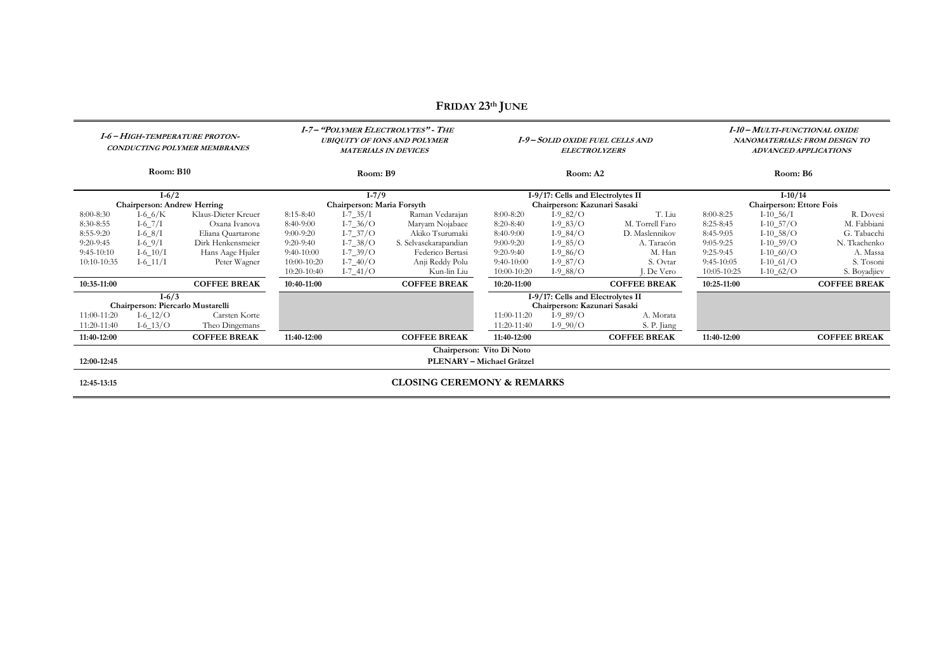| I-6 - HIGH-TEMPERATURE PROTON-<br>CONDUCTING POLYMER MEMBRANES |                                    |                     | <b>I-7- "POLYMER ELECTROLYTES" - THE</b><br><b>UBIQUITY OF IONS AND POLYMER</b><br><b>MATERIALS IN DEVICES</b> |                |                                       | I-9-SOLID OXIDE FUEL CELLS AND<br><b>ELECTROLYZERS</b> |                                   |                     | I-10 - MULTI-FUNCTIONAL OXIDE<br>NANOMATERIALS: FROM DESIGN TO<br><b>ADVANCED APPLICATIONS</b> |                         |                     |
|----------------------------------------------------------------|------------------------------------|---------------------|----------------------------------------------------------------------------------------------------------------|----------------|---------------------------------------|--------------------------------------------------------|-----------------------------------|---------------------|------------------------------------------------------------------------------------------------|-------------------------|---------------------|
| Room: B10                                                      |                                    |                     | Room: B9                                                                                                       |                |                                       | Room: A2                                               |                                   |                     | Room: B6                                                                                       |                         |                     |
| $I-6/2$                                                        |                                    |                     | $I-7/9$                                                                                                        |                |                                       | I-9/17: Cells and Electrolytes II                      |                                   |                     | $I-10/14$                                                                                      |                         |                     |
|                                                                | <b>Chairperson: Andrew Herring</b> |                     | Chairperson: Maria Forsyth                                                                                     |                |                                       | Chairperson: Kazunari Sasaki                           |                                   |                     | <b>Chairperson: Ettore Fois</b>                                                                |                         |                     |
| 8:00-8:30                                                      | $I-6_6/K$                          | Klaus-Dieter Kreuer | $I - 7 - 35/I$<br>Raman Vedarajan<br>$8:15-8:40$                                                               |                |                                       | 8:00-8:20                                              | $I-9_82/O$                        | T. Liu              | 8:00-8:25                                                                                      | $I-10$ 56/I             | R. Dovesi           |
| 8:30-8:55                                                      | $I - 67$ /I                        | Oxana Ivanova       | $8:40-9:00$                                                                                                    | $I - 7 - 36/O$ | Maryam Nojabaee                       | $8:20-8:40$                                            | $I-9$ <sub>-83</sub> /O           | M. Torrell Faro     | 8:25-8:45                                                                                      | $I-10\_57/O$            | M. Fabbiani         |
| 8:55-9:20                                                      | $I-6_8/I$                          | Eliana Quartarone   | $9:00-9:20$                                                                                                    | $I - 7 - 37/O$ | Akiko Tsurumaki                       | $8:40-9:00$                                            | $I-9_84/O$                        | D. Maslennikov      | 8:45-9:05                                                                                      | $I-10\_58/O$            | G. Tabacchi         |
| $9:20-9:45$                                                    | $I-69/I$                           | Dirk Henkensmeier   | $9:20-9:40$                                                                                                    | $I - 7 - 38/O$ | S. Selvasekarapandian                 | $9:00-9:20$                                            | $I-985/O$                         | A. Taracón          | $9:05-9:25$                                                                                    | $I-10\_59/O$            | N. Tkachenko        |
| $9:45-10:10$                                                   | $I - 6 - 10/I$                     | Hans Aage Hjuler    | $9:40-10:00$                                                                                                   | $I - 7 - 39/O$ | Federico Bertasi                      | $9:20-9:40$                                            | $I-9_86/O$                        | M. Han              | $9:25-9:45$                                                                                    | $I-10_60/O$             | A. Massa            |
| 10:10-10:35                                                    | $I - 6 - 11/I$                     | Peter Wagner        | $10:00-10:20$                                                                                                  | $I - 7 - 40/O$ | Anji Reddy Polu                       | $9:40-10:00$                                           | $I-9_87/O$                        | S. Ovtar            | $9:45-10:05$                                                                                   | $I-10$ <sub>61</sub> /O | S. Tosoni           |
|                                                                |                                    |                     | $10:20-10:40$                                                                                                  | $I - 7 - 41/O$ | Kun-lin Liu                           | $10:00-10:20$                                          | $I-9_8/O$                         | . De Vero           | 10:05-10:25                                                                                    | $I-10_62/O$             | S. Boyadjiev        |
| 10:35-11:00                                                    |                                    | <b>COFFEE BREAK</b> | 10:40-11:00                                                                                                    |                | <b>COFFEE BREAK</b>                   | 10:20-11:00                                            |                                   | <b>COFFEE BREAK</b> | 10:25-11:00                                                                                    |                         | <b>COFFEE BREAK</b> |
| $I-6/3$                                                        |                                    |                     |                                                                                                                |                |                                       |                                                        | I-9/17: Cells and Electrolytes II |                     |                                                                                                |                         |                     |
|                                                                | Chairperson: Piercarlo Mustarelli  |                     |                                                                                                                |                |                                       |                                                        | Chairperson: Kazunari Sasaki      |                     |                                                                                                |                         |                     |
| 11:00-11:20                                                    | $I-6_12/O$                         | Carsten Korte       |                                                                                                                |                |                                       | 11:00-11:20                                            | $I-9_89/O$                        | A. Morata           |                                                                                                |                         |                     |
| 11:20-11:40                                                    | $I - 6\_13/O$                      | Theo Dingemans      |                                                                                                                |                |                                       | 11:20-11:40                                            | $I-9_90/O$                        | S. P. Jiang         |                                                                                                |                         |                     |
| 11:40-12:00                                                    |                                    | <b>COFFEE BREAK</b> | 11:40-12:00                                                                                                    |                | <b>COFFEE BREAK</b>                   | 11:40-12:00                                            |                                   | <b>COFFEE BREAK</b> | 11:40-12:00                                                                                    |                         | <b>COFFEE BREAK</b> |
|                                                                |                                    |                     |                                                                                                                |                |                                       | Chairperson: Vito Di Noto                              |                                   |                     |                                                                                                |                         |                     |
| 12:00-12:45                                                    | PLENARY - Michael Grätzel          |                     |                                                                                                                |                |                                       |                                                        |                                   |                     |                                                                                                |                         |                     |
| 12:45-13:15                                                    |                                    |                     |                                                                                                                |                | <b>CLOSING CEREMONY &amp; REMARKS</b> |                                                        |                                   |                     |                                                                                                |                         |                     |

## **FRIDAY 23th JUNE**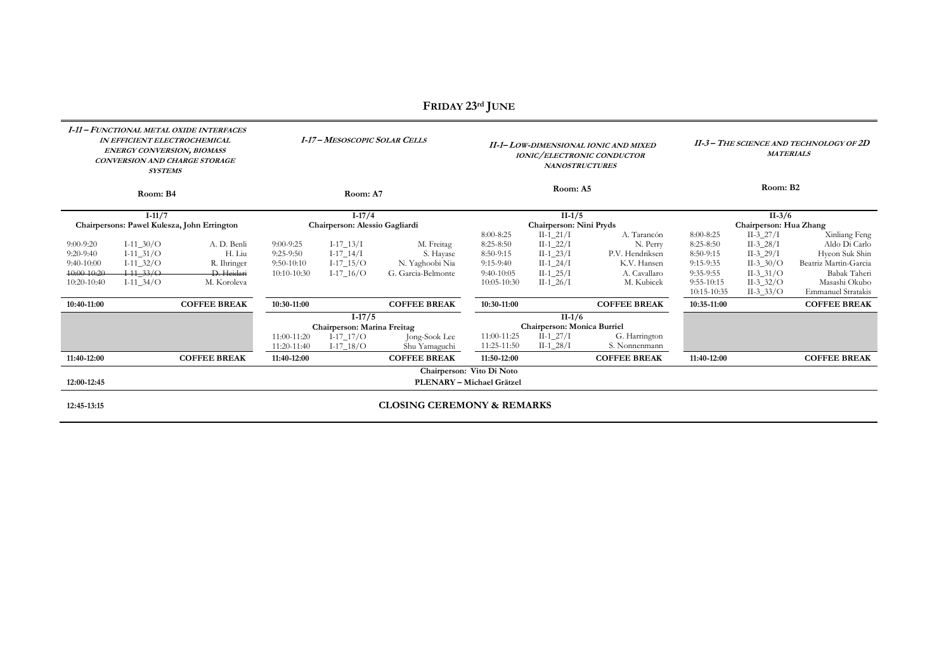| I-11 - FUNCTIONAL METAL OXIDE INTERFACES<br><b>IN EFFICIENT ELECTROCHEMICAL</b><br><b>ENERGY CONVERSION, BIOMASS</b><br>CONVERSION AND CHARGE STORAGE<br><b>SYSTEMS</b> |                |                                             | <b>I-17 - MESOSCOPIC SOLAR CELLS</b> |                             |                                         | II-1- LOW-DIMENSIONAL IONIC AND MIXED<br><b>IONIC/ELECTRONIC CONDUCTOR</b><br><b>NANOSTRUCTURES</b> |                            |                                | II-3 - THE SCIENCE AND TECHNOLOGY OF 2D<br><b>MATERIALS</b> |             |                       |
|-------------------------------------------------------------------------------------------------------------------------------------------------------------------------|----------------|---------------------------------------------|--------------------------------------|-----------------------------|-----------------------------------------|-----------------------------------------------------------------------------------------------------|----------------------------|--------------------------------|-------------------------------------------------------------|-------------|-----------------------|
| Room: B4                                                                                                                                                                |                |                                             | Room: A7                             |                             |                                         | Room: A5                                                                                            |                            |                                | Room: B2                                                    |             |                       |
|                                                                                                                                                                         | $I-11/7$       |                                             |                                      | $I-17/4$                    |                                         |                                                                                                     | $II-1/5$                   |                                |                                                             | $II-3/6$    |                       |
|                                                                                                                                                                         |                | Chairpersons: Pawel Kulesza, John Errington | Chairperson: Alessio Gagliardi       |                             |                                         | Chairperson: Nini Pryds                                                                             |                            |                                | Chairperson: Hua Zhang                                      |             |                       |
|                                                                                                                                                                         |                |                                             |                                      |                             |                                         | 8:00-8:25                                                                                           | $II-1$ 21/I                | A. Tarancón                    | 8:00-8:25                                                   | $II-3_27/I$ | Xinliang Feng         |
| $9:00-9:20$                                                                                                                                                             | $I-11\_30/O$   | A. D. Benli                                 | $9:00-9:25$                          | $I-17-13/I$                 | M. Freitag                              | 8:25-8:50                                                                                           | $II-1_22/I$                | N. Perry                       | $8:25-8:50$                                                 | $II-3_28/I$ | Aldo Di Carlo         |
| $9:20-9:40$                                                                                                                                                             | $I-11\_31/O$   | H. Liu                                      | $9:25-9:50$                          | $I-17\_14/I$                | S. Hayase                               | 8:50-9:15                                                                                           | $II-1_23/I$                | P.V. Hendriksen                | 8:50-9:15                                                   | $II-3_29/I$ | Hyeon Suk Shin        |
| $9:40-10:00$                                                                                                                                                            | $I-11\_32/O$   | R. Ihringer                                 | $9:50-10:10$                         | $I-17\_15/O$                | N. Yaghoobi Nia                         | $9:15-9:40$                                                                                         | $II-1_24/I$                | K.V. Hansen                    | 9:15-9:35                                                   | $II-3_30/O$ | Beatriz Martin-Garcia |
| 40:00-10:20                                                                                                                                                             | $I-11$ $-33/O$ | D. Heidari                                  | $10:10-10:30$                        | I-17 $16/O$                 | G. Garcia-Belmonte                      | $9:40-10:05$                                                                                        | $II-1_25/I$                | A. Cavallaro                   | 9:35-9:55                                                   | $II-3_31/O$ | Babak Taheri          |
| $10:20-10:40$                                                                                                                                                           | $I-11\_34/O$   | M. Koroleva                                 |                                      |                             |                                         | $10:05-10:30$                                                                                       | $II-1_26/I$                | M. Kubicek                     | $9:55-10:15$                                                | $II-3_32/O$ | Masashi Okubo         |
|                                                                                                                                                                         |                |                                             |                                      |                             |                                         |                                                                                                     |                            |                                | 10:15-10:35                                                 | $II-3_3/O$  | Emmanuel Stratakis    |
| 10:40-11:00                                                                                                                                                             |                | <b>COFFEE BREAK</b>                         | 10:30-11:00                          |                             | <b>COFFEE BREAK</b>                     | 10:30-11:00                                                                                         |                            | <b>COFFEE BREAK</b>            | 10:35-11:00                                                 |             | <b>COFFEE BREAK</b>   |
|                                                                                                                                                                         |                | $I-17/5$<br>Chairperson: Marina Freitag     |                                      |                             | $II-1/6$<br>Chairperson: Monica Burriel |                                                                                                     |                            |                                |                                                             |             |                       |
|                                                                                                                                                                         |                |                                             | 11:00-11:20<br>11:20-11:40           | $I-17_17/O$<br>$I-17\_18/O$ | Jong-Sook Lee<br>Shu Yamaguchi          | 11:00-11:25<br>11:25-11:50                                                                          | $II-1_27/I$<br>$II-1_28/I$ | G. Harrington<br>S. Nonnenmann |                                                             |             |                       |
| 11:40-12:00                                                                                                                                                             |                | <b>COFFEE BREAK</b>                         | 11:40-12:00                          |                             | <b>COFFEE BREAK</b>                     | 11:50-12:00                                                                                         |                            | <b>COFFEE BREAK</b>            | 11:40-12:00                                                 |             | <b>COFFEE BREAK</b>   |
|                                                                                                                                                                         |                |                                             |                                      |                             |                                         | Chairperson: Vito Di Noto                                                                           |                            |                                |                                                             |             |                       |
| 12:00-12:45                                                                                                                                                             |                |                                             |                                      |                             |                                         | PLENARY - Michael Grätzel                                                                           |                            |                                |                                                             |             |                       |
| 12:45-13:15                                                                                                                                                             |                |                                             |                                      |                             | <b>CLOSING CEREMONY &amp; REMARKS</b>   |                                                                                                     |                            |                                |                                                             |             |                       |

## **FRIDAY 23rd JUNE**